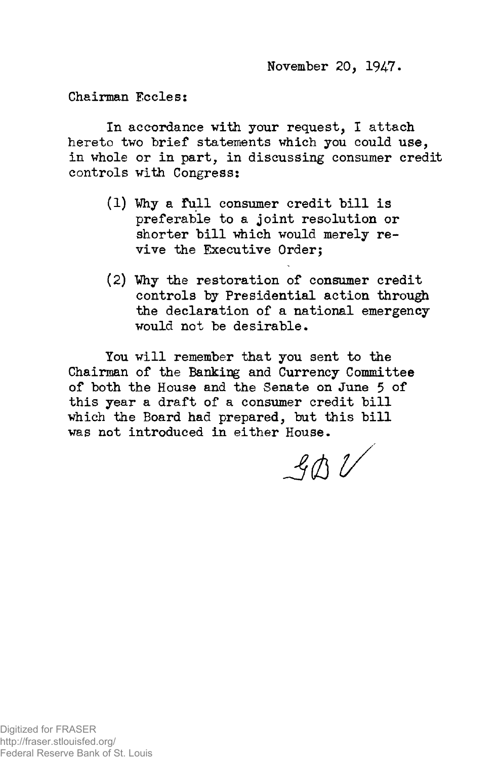November 20, 1947.

Chairman Eccles:

In accordance with your request, I attach hereto two brief statements which you could use, in whole or in part, in discussing consumer credit controls with Congress:

- (1) Why a full consumer credit bill is preferable to a joint resolution or shorter bill which would merely revive the Executive Order;
- (2) Vhy the restoration of consumer credit controls by Presidential action through the declaration of a national emergency would not be desirable.

You will remember that you sent to the Chairman of the Banking and Currency Committee of both the House and the Senate on June 5 of this year a draft of a consumer credit bill which the Board had prepared, but this bill was not introduced in either House.

 $B$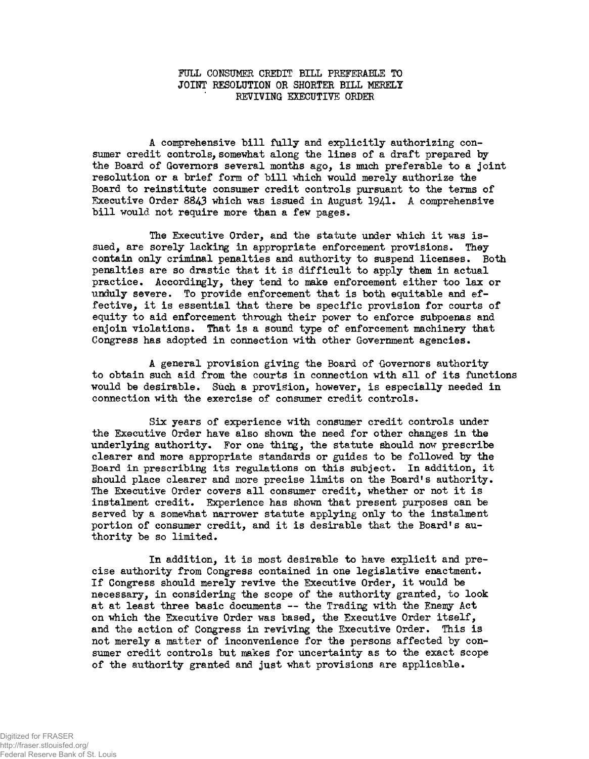## FULL CONSUMER CREDIT BILL PREFERABLE TO JOINT RESOLUTION OR SHORTER BILL MERELY REVIVING EXECUTIVE ORDER

A comprehensive bill fully and explicitly authorizing consumer credit controls, somewhat along the lines of a draft prepared by the Board of Governors several months ago, is much preferable to a joint resolution or a brief form of bill which would merely authorize the Board to reinstitute consumer credit controls pursuant to the terms of Executive Order 8843 which was issued in August 1941. A comprehensive bill would not require more than a few pages.

The Executive Order, and the statute under which it was issued, are sorely lacking in appropriate enforcement provisions. They contain only criminal penalties and authority to suspend licenses. Both penalties are so drastic that it is difficult to apply them in actual practice. Accordingly, they tend to make enforcement either too lax or unduly severe. To provide enforcement that is both equitable and effective, it is essential that there be specific provision for courts of equity to aid enforcement through their power to enforce subpoenas and enjoin violations. That is a sound type of enforcement machinery that Congress has adopted in connection with other Government agencies.

A general provision giving the Board of Governors authority to obtain such aid from the courts in connection with all of its functions would be desirable. Such a provision, however, is especially needed in connection with the exercise of consumer credit controls.

Six years of experience with consumer credit controls under the Executive Order have also shown the need for other changes in the underlying authority. For one thing, the statute should now prescribe clearer and more appropriate standards or guides to be followed by the Board in prescribing its regulations on this subject. In addition, it should place clearer and more precise limits on the Board's authority. The Executive Order covers all consumer credit, whether or not it is instalment credit. Experience has shown that present purposes can be served by a somewhat narrower statute applying only to the instalment portion of consumer credit, and it is desirable that the Board's authority be so limited.

In addition, it is most desirable to have explicit and precise authority from Congress contained in one legislative enactment. If Congress should merely revive the Executive Order, it would be necessary, in considering the scope of the authority granted, to look at at least three basic documents — the Trading with the Enemy Act on which the Executive Order was based, the Executive Order itself, and the action of Congress in reviving the Executive Order. This is not merely a matter of inconvenience for the persons affected by consumer credit controls but makes for uncertainty as to the exact scope of the authority granted and just what provisions are applicable.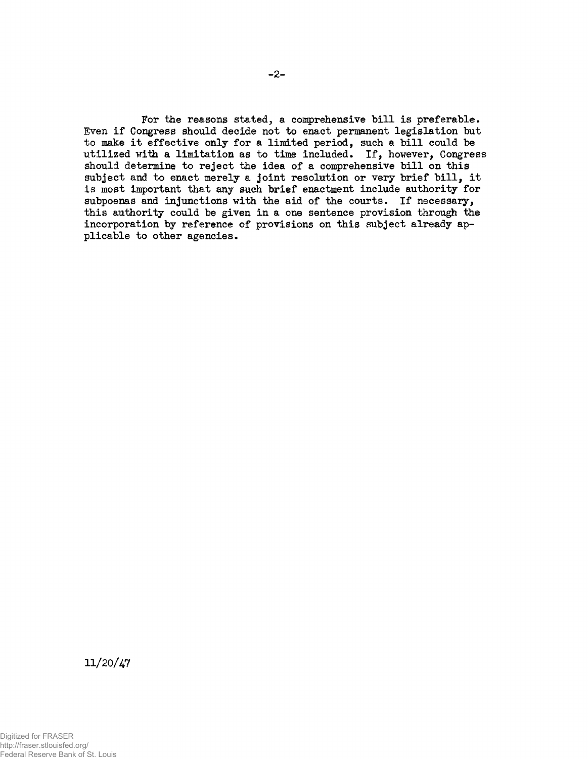For the reasons stated, a comprehensive bill is preferable. Even if Congress should decide not to enact permanent legislation but to make it effective only for a limited period, such a bill could be utilized with a limitation as to time included. If, however, Congress should determine to reject the idea of a comprehensive bill on this subject and to enact merely a joint resolution or very brief bill, it is most important that any such brief enactment include authority for subpoenas and injunctions with the aid of the courts. If necessary, this authority could be given in a one sentence provision through the incorporation by reference of provisions on this subject already applicable to other agencies.

11/20/47